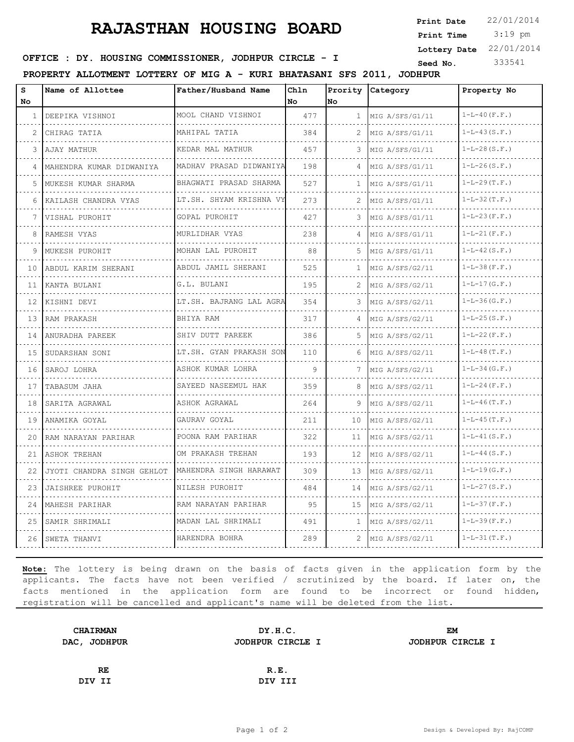## **RAJASTHAN HOUSING BOARD**

 3:19 pm **Print Date**  $22/01/2014$ **Print Time Lottery Date** 22/01/2014

## **SEED IDE. HOUSING COMMISSIONER, JODHPUR CIRCLE - I** Seed No. 333541

**PROPERTY ALLOTMENT LOTTERY OF MIG A - KURI BHATASANI SFS 2011, JODHPUR**

| S<br>No        | Name of Allottee           | Father/Husband Name                           | Chln<br>l No | No.          | Prority Category     | Property No         |
|----------------|----------------------------|-----------------------------------------------|--------------|--------------|----------------------|---------------------|
| $\mathbf{1}$   | DEEPIKA VISHNOI            | MOOL CHAND VISHNOI                            | 477          | $\mathbf{1}$ | MIG A/SFS/G1/11      | $1 - L - 40$ (F.F.) |
| $\mathfrak{D}$ | CHIRAG TATIA               | MAHIPAL TATIA                                 | 384          |              | MIG A/SFS/G1/11      | $1-L-43(S.F.)$      |
| 3              | AJAY MATHUR                | KEDAR MAL MATHUR                              | 457          | 3            | MIG A/SFS/G1/11      | $1-L-28(S.F.)$      |
| 4              | MAHENDRA KUMAR DIDWANIYA   | december de la cie<br>MADHAV PRASAD DIDWANIYA | 198          | 4            | MIG A/SFS/G1/11      | $1-L-26(S.F.)$      |
| 5.             | MUKESH KUMAR SHARMA        | BHAGWATI PRASAD SHARMA                        | 527          | 1            | MIG A/SFS/G1/11      | $1-L-29(T.F.)$      |
| 6              | .<br>KAILASH CHANDRA VYAS  | .<br>LT.SH. SHYAM KRISHNA VY                  | 273          | 2            | MIG A/SFS/G1/11      | $1 - L - 32(T.F.)$  |
| 7              | VISHAL PUROHIT             | GOPAL PUROHIT                                 | 427          | 3            | MIG A/SFS/G1/11      | $1-L-23(F.F.)$      |
| 8              | RAMESH VYAS                | .<br>MURLIDHAR VYAS                           | 238          |              | MIG A/SFS/G1/11      | $1-L-21$ (F.F.)     |
| 9              | MUKESH PUROHIT             | MOHAN LAL PUROHIT                             | 88           | .5           | MIG A/SFS/G1/11      | $1-L-42(S.F.)$      |
| 10             | ABDUL KARIM SHERANI        | ABDUL JAMIL SHERANI<br>.                      | 525          | 1            | MIG A/SFS/G2/11<br>. | $1-L-38(F.F.)$      |
| 11             | KANTA BULANI               | G.L. BULANI                                   | 195          |              | MIG A/SFS/G2/11      | $1-L-17(G.F.)$      |
| 12.            | KISHNI DEVI                | LT.SH. BAJRANG LAL AGRA                       | 354          | 3            | MIG A/SFS/G2/11      | $1 - L - 36(G.F.)$  |
| 13             | RAM PRAKASH                | BHIYA RAM                                     | 317          | 4            | MIG A/SFS/G2/11<br>. | $1-L-25(S.F.)$      |
| 14             | ANURADHA PAREEK            | SHIV DUTT PAREEK<br>.                         | 386          |              | MIG A/SFS/G2/11      | $1 - L - 22(F.F.)$  |
| 15             | SUDARSHAN SONI             | LT.SH. GYAN PRAKASH SON                       | 110          | 6            | MIG A/SFS/G2/11      | $1 - L - 48$ (T.F.) |
| 16             | SAROJ LOHRA<br>.           | ASHOK KUMAR LOHRA                             | 9            | 7            | MIG A/SFS/G2/11<br>. | $1 - L - 34$ (G.F.) |
| 17             | TABASUM JAHA               | SAYEED NASEEMUL HAK                           | 359          | 8            | MIG A/SFS/G2/11      | $1-L-24$ (F.F.)     |
| 18             | SARITA AGRAWAL             | ASHOK AGRAWAL                                 | 264          | 9            | MIG A/SFS/G2/11      | $1-L-46(T.F.)$      |
| 19             | ANAMIKA GOYAL              | GAURAV GOYAL                                  | 211          | 10           | MIG A/SFS/G2/11      | $1 - L - 45(T, F.)$ |
| 20             | RAM NARAYAN PARIHAR        | POONA RAM PARIHAR<br><u>.</u>                 | 322          | 11           | MIG A/SFS/G2/11<br>. | $1 - L - 41$ (S.F.) |
| 21             | ASHOK TREHAN               | OM PRAKASH TREHAN                             | 193          | 12           | MIG A/SFS/G2/11      | $1-L-44(S.F.)$      |
| 22             | JYOTI CHANDRA SINGH GEHLOT | MAHENDRA SINGH HARAWAT                        | 309          | 13           | MIG A/SFS/G2/11      | $1 - L - 19(G.F.)$  |
| 23             | JAISHREE PUROHIT           | NILESH PUROHIT<br>.                           | 484          | 14           | MIG A/SFS/G2/11      | $1-L-27(S.F.)$      |
| 24             | MAHESH PARIHAR             | RAM NARAYAN PARIHAR                           | 95           | 1.5          | MIG A/SFS/G2/11      | $1 - L - 37(F.F.)$  |
| 25             | SAMIR SHRIMALI             | MADAN LAL SHRIMALI                            | 491          | 1.           | MIG A/SFS/G2/11      | $1 - L - 39(F.F.)$  |
| 26             | SWETA THANVI               | HARENDRA BOHRA                                | 289          | 2            | MIG A/SFS/G2/11      | $1 - L - 31(T.F.)$  |

**Note:** The lottery is being drawn on the basis of facts given in the application form by the applicants. The facts have not been verified / scrutinized by the board. If later on, the facts mentioned in the application form are found to be incorrect or found hidden, registration will be cancelled and applicant's name will be deleted from the list.

| <b>CHAIRMAN</b> | DY.H.C.          | EM               |  |
|-----------------|------------------|------------------|--|
| DAC, JODHPUR    | JODHPUR CIRCLE I | JODHPUR CIRCLE I |  |
|                 |                  |                  |  |
| RE              | R.E.             |                  |  |
| DIV II          | DIV III          |                  |  |
|                 |                  |                  |  |